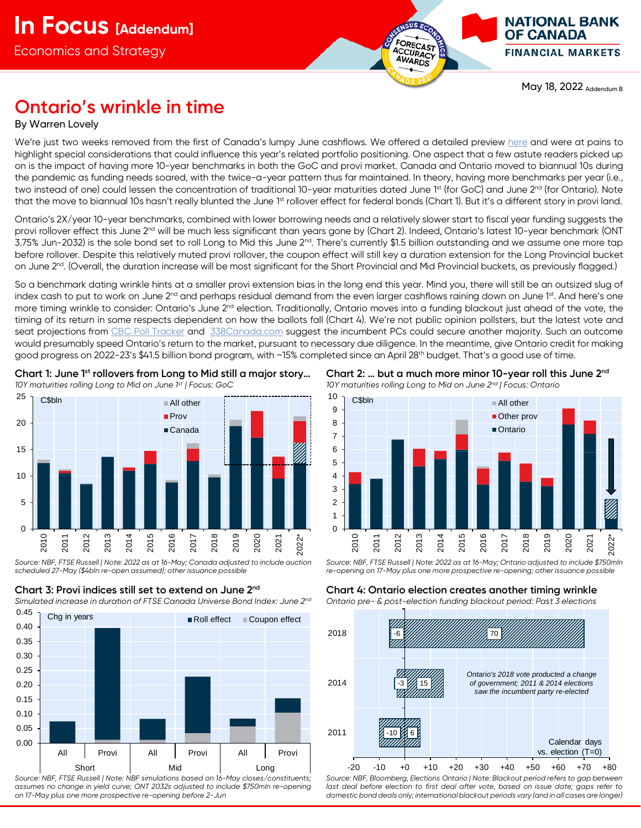

May 18, 2022 Addendum B

# **Ontario's wrinkle in time**

## By Warren Lovely

We're just two weeks removed from the first of Canada's lumpy June cashflows. We offered a detailed preview <u>here</u> and were at pains to highlight special considerations that could influence this year's related portfolio positioning. One aspect that a few astute readers picked up on is the impact of having more 10-year benchmarks in both the GoC and provi market. Canada and Ontario moved to biannual 10s during the pandemic as funding needs soared, with the twice-a-year pattern thus far maintained. In theory, having more benchmarks per year (i.e., two instead of one) could lessen the concentration of traditional 10-year maturities dated June 1<sup>st</sup> (for GoC) and June 2<sup>nd</sup> (for Ontario). Note that the move to biannual 10s hasn't really blunted the June 1<sup>st</sup> rollover effect for federal bonds (Chart 1). But it's a different story in provi land.

Ontario's 2X/year 10-year benchmarks, combined with lower borrowing needs and a relatively slower start to fiscal year funding suggests the provi rollover effect this June 2<sup>nd</sup> will be much less significant than years gone by (Chart 2). Indeed, Ontario's latest 10-year benchmark (ONT 3.75% Jun-2032) is the sole bond set to roll Long to Mid this June  $2^{nd}$ . There's currently \$1.5 billion outstanding and we assume one more tap before rollover. Despite this relatively muted provi rollover, the coupon effect will still key a duration extension for the Long Provincial bucket on June 2<sup>nd</sup>. (Overall, the duration increase will be most significant for the Short Provincial and Mid Provincial buckets, as previously flagged.)

So a benchmark dating wrinkle hints at a smaller provi extension bias in the long end this year. Mind you, there will still be an outsized slug of index cash to put to work on June 2<sup>nd</sup> and perhaps residual demand from the even larger cashflows raining down on June 1<sup>st</sup>. And here's one more timing wrinkle to consider: Ontario's June 2<sup>nd</sup> election. Traditionally, Ontario moves into a funding blackout just ahead of the vote, the timing of its return in some respects dependent on how the ballots fall (Chart 4). We're not public opinion pollsters, but the latest vote and seat projections from [CBC Poll Tracker](https://newsinteractives.cbc.ca/elections/poll-tracker/ontario/) and [338Canada.com](https://338canada.com/ontario/) suggest the incumbent PCs could secure another majority. Such an outcome would presumably speed Ontario's return to the market, pursuant to necessary due diligence. In the meantime, give Ontario credit for making good progress on 2022-23's \$41.5 billion bond program, with ~15% completed since an April 28<sup>th</sup> budget. That's a good use of time.



**Chart 1: June 1st rollovers from Long to Mid still a major story…**

*10Y maturities rolling Long to Mid on June 1st | Focus: GoC*

*Source: NBF, FTSE Russell | Note: 2022 as at 16-May; Canada adjusted to include auction scheduled 27-May (\$4bln re-open assumed); other issuance possible*





*Source: NBF, FTSE Russell | Note: NBF simulations based on 16-May closes/constituents; assumes no change in yield curve; ONT 2032s adjusted to include \$750mln re-opening on 17-May plus one more prospective re-opening before 2-Jun*

**Chart 2: … but a much more minor 10-year roll this June 2nd** *10Y maturities rolling Long to Mid on June 2nd | Focus: Ontario*



*Source: NBF, FTSE Russell | Note: 2022 as at 16-May; Ontario adjusted to include \$750mln re-opening on 17-May plus one more prospective re-opening; other issuance possible*

**Chart 4: Ontario election creates another timing wrinkle** *Ontario pre- & post-election funding blackout period: Past 3 elections*



*Source: NBF, Bloomberg, Elections Ontario | Note: Blackout period refers to gap between last deal before election to first deal after vote, based on issue date; gaps refer to domestic bond deals only; international blackout periods vary (and in all cases are longer)*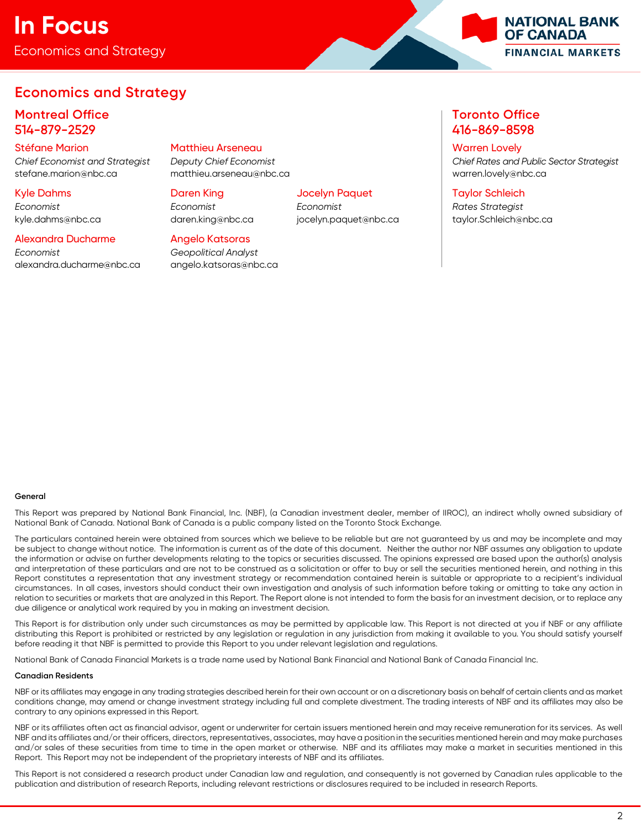## Economics and Strategy **In Focus**



## **Economics and Strategy**

## **Montreal Office Toronto Office** 514-879-2529 416-869-8598

# Stéfane Marion Matthieu Arseneau Warren Lovely

Kyle Dahms Daren King Jocelyn Paquet Taylor Schleich

*Economist Economist Economist Rates Strategist*

## Alexandra Ducharme Angelo Katsoras

*Economist Geopolitical Analyst* [alexandra.ducharme@nbc.ca](mailto:alexandra.ducharme@nbc.ca) [angelo.katsoras@nbc.ca](mailto:angelo.katsoras@nbc.ca)

stefane.marion@nbc.ca matthieu.arseneau@nbc.ca warren.lovely@nbc.ca

*Chief Economist and Strategist Deputy Chief Economist Chief Rates and Public Sector Strategist*

kyle.dahms@nbc.ca daren.king@nbc.ca jocelyn.paquet@nbc.ca taylor.Schleich@nbc.ca

## **General**

This Report was prepared by National Bank Financial, Inc. (NBF), (a Canadian investment dealer, member of IIROC), an indirect wholly owned subsidiary of National Bank of Canada. National Bank of Canada is a public company listed on the Toronto Stock Exchange.

The particulars contained herein were obtained from sources which we believe to be reliable but are not guaranteed by us and may be incomplete and may be subject to change without notice. The information is current as of the date of this document. Neither the author nor NBF assumes any obligation to update the information or advise on further developments relating to the topics or securities discussed. The opinions expressed are based upon the author(s) analysis and interpretation of these particulars and are not to be construed as a solicitation or offer to buy or sell the securities mentioned herein, and nothing in this Report constitutes a representation that any investment strategy or recommendation contained herein is suitable or appropriate to a recipient's individual circumstances. In all cases, investors should conduct their own investigation and analysis of such information before taking or omitting to take any action in relation to securities or markets that are analyzed in this Report. The Report alone is not intended to form the basis for an investment decision, or to replace any due diligence or analytical work required by you in making an investment decision.

This Report is for distribution only under such circumstances as may be permitted by applicable law. This Report is not directed at you if NBF or any affiliate distributing this Report is prohibited or restricted by any legislation or regulation in any jurisdiction from making it available to you. You should satisfy yourself before reading it that NBF is permitted to provide this Report to you under relevant legislation and regulations.

National Bank of Canada Financial Markets is a trade name used by National Bank Financial and National Bank of Canada Financial Inc.

## **Canadian Residents**

NBF or its affiliates may engage in any trading strategies described herein for their own account or on a discretionary basis on behalf of certain clients and as market conditions change, may amend or change investment strategy including full and complete divestment. The trading interests of NBF and its affiliates may also be contrary to any opinions expressed in this Report.

NBF or its affiliates often act as financial advisor, agent or underwriter for certain issuers mentioned herein and may receive remuneration for its services. As well NBF and its affiliates and/or their officers, directors, representatives, associates, may have a position in the securities mentioned herein and may make purchases and/or sales of these securities from time to time in the open market or otherwise. NBF and its affiliates may make a market in securities mentioned in this Report. This Report may not be independent of the proprietary interests of NBF and its affiliates.

This Report is not considered a research product under Canadian law and regulation, and consequently is not governed by Canadian rules applicable to the publication and distribution of research Reports, including relevant restrictions or disclosures required to be included in research Reports.